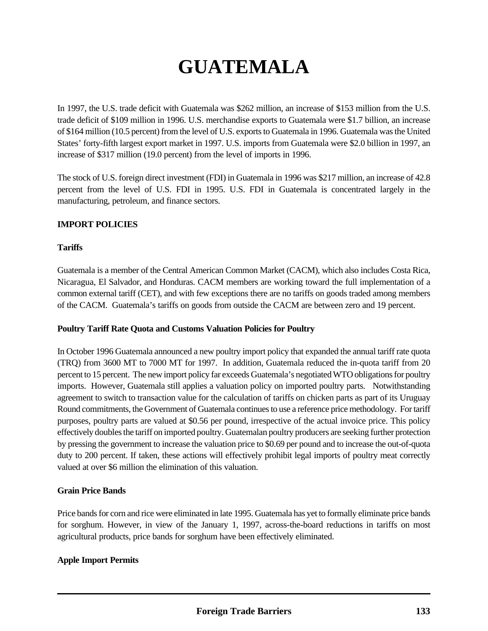# **GUATEMALA**

In 1997, the U.S. trade deficit with Guatemala was \$262 million, an increase of \$153 million from the U.S. trade deficit of \$109 million in 1996. U.S. merchandise exports to Guatemala were \$1.7 billion, an increase of \$164 million (10.5 percent) from the level of U.S. exports to Guatemala in 1996. Guatemala was the United States' forty-fifth largest export market in 1997. U.S. imports from Guatemala were \$2.0 billion in 1997, an increase of \$317 million (19.0 percent) from the level of imports in 1996.

The stock of U.S. foreign direct investment (FDI) in Guatemala in 1996 was \$217 million, an increase of 42.8 percent from the level of U.S. FDI in 1995. U.S. FDI in Guatemala is concentrated largely in the manufacturing, petroleum, and finance sectors.

## **IMPORT POLICIES**

## **Tariffs**

Guatemala is a member of the Central American Common Market (CACM), which also includes Costa Rica, Nicaragua, El Salvador, and Honduras. CACM members are working toward the full implementation of a common external tariff (CET), and with few exceptions there are no tariffs on goods traded among members of the CACM. Guatemala's tariffs on goods from outside the CACM are between zero and 19 percent.

#### **Poultry Tariff Rate Quota and Customs Valuation Policies for Poultry**

In October 1996 Guatemala announced a new poultry import policy that expanded the annual tariff rate quota (TRQ) from 3600 MT to 7000 MT for 1997. In addition, Guatemala reduced the in-quota tariff from 20 percent to 15 percent. The new import policy far exceeds Guatemala's negotiated WTO obligations for poultry imports. However, Guatemala still applies a valuation policy on imported poultry parts. Notwithstanding agreement to switch to transaction value for the calculation of tariffs on chicken parts as part of its Uruguay Round commitments, the Government of Guatemala continues to use a reference price methodology. For tariff purposes, poultry parts are valued at \$0.56 per pound, irrespective of the actual invoice price. This policy effectively doubles the tariff on imported poultry. Guatemalan poultry producers are seeking further protection by pressing the government to increase the valuation price to \$0.69 per pound and to increase the out-of-quota duty to 200 percent. If taken, these actions will effectively prohibit legal imports of poultry meat correctly valued at over \$6 million the elimination of this valuation.

#### **Grain Price Bands**

Price bands for corn and rice were eliminated in late 1995. Guatemala has yet to formally eliminate price bands for sorghum. However, in view of the January 1, 1997, across-the-board reductions in tariffs on most agricultural products, price bands for sorghum have been effectively eliminated.

#### **Apple Import Permits**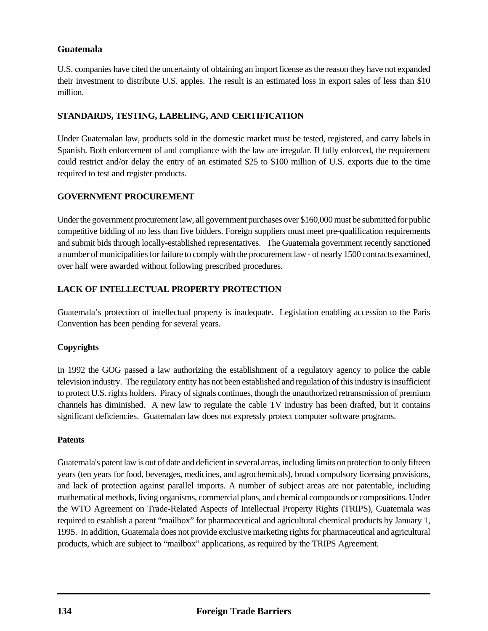## **Guatemala**

U.S. companies have cited the uncertainty of obtaining an import license as the reason they have not expanded their investment to distribute U.S. apples. The result is an estimated loss in export sales of less than \$10 million.

## **STANDARDS, TESTING, LABELING, AND CERTIFICATION**

Under Guatemalan law, products sold in the domestic market must be tested, registered, and carry labels in Spanish. Both enforcement of and compliance with the law are irregular. If fully enforced, the requirement could restrict and/or delay the entry of an estimated \$25 to \$100 million of U.S. exports due to the time required to test and register products.

## **GOVERNMENT PROCUREMENT**

Under the government procurement law, all government purchases over \$160,000 must be submitted for public competitive bidding of no less than five bidders. Foreign suppliers must meet pre-qualification requirements and submit bids through locally-established representatives. The Guatemala government recently sanctioned a number of municipalities for failure to comply with the procurement law - of nearly 1500 contracts examined, over half were awarded without following prescribed procedures.

# **LACK OF INTELLECTUAL PROPERTY PROTECTION**

Guatemala's protection of intellectual property is inadequate. Legislation enabling accession to the Paris Convention has been pending for several years.

## **Copyrights**

In 1992 the GOG passed a law authorizing the establishment of a regulatory agency to police the cable television industry. The regulatory entity has not been established and regulation of this industry is insufficient to protect U.S. rights holders. Piracy of signals continues, though the unauthorized retransmission of premium channels has diminished. A new law to regulate the cable TV industry has been drafted, but it contains significant deficiencies. Guatemalan law does not expressly protect computer software programs.

#### **Patents**

Guatemala's patent law is out of date and deficient in several areas, including limits on protection to only fifteen years (ten years for food, beverages, medicines, and agrochemicals), broad compulsory licensing provisions, and lack of protection against parallel imports. A number of subject areas are not patentable, including mathematical methods, living organisms, commercial plans, and chemical compounds or compositions. Under the WTO Agreement on Trade-Related Aspects of Intellectual Property Rights (TRIPS), Guatemala was required to establish a patent "mailbox" for pharmaceutical and agricultural chemical products by January 1, 1995. In addition, Guatemala does not provide exclusive marketing rights for pharmaceutical and agricultural products, which are subject to "mailbox" applications, as required by the TRIPS Agreement.